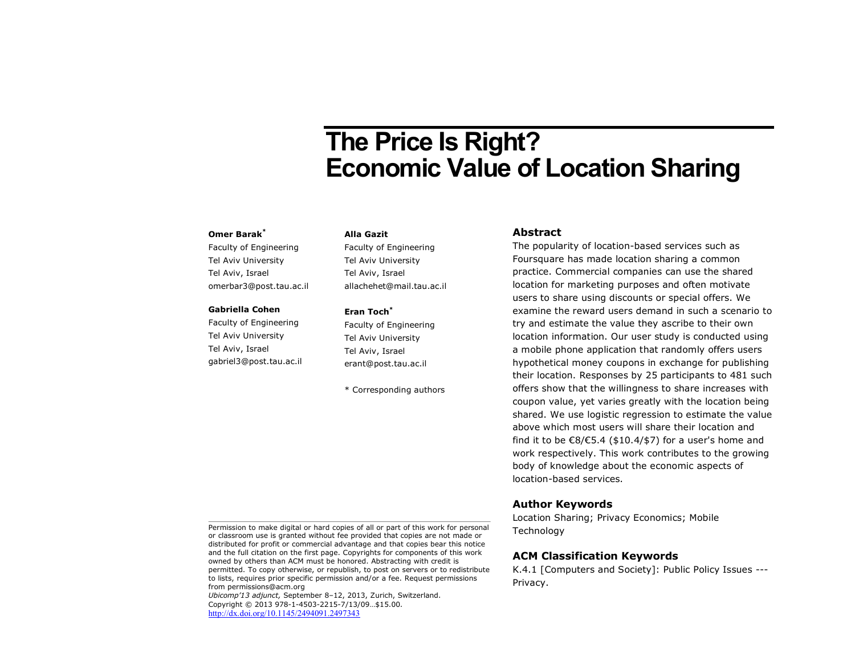# **The Price Is Right? Economic Value of Location Sharing**

# **Omer Barak\***

Faculty of Engineering Tel Aviv University Tel Aviv, Israel omerbar3@post.tau.ac.il

#### **Gabriella Cohen**

Faculty of Engineering Tel Aviv University Tel Aviv, Israel gabriel3@post.tau.ac.il **Alla Gazit**

Faculty of Engineering Tel Aviv University Tel Aviv, Israel allachehet@mail.tau.ac.il

# **Eran Toch\***

Faculty of Engineering Tel Aviv University Tel Aviv, Israel erant@post.tau.ac.il

\* Corresponding authors

# **Abstract**

The popularity of location-based services such as Foursquare has made location sharing a common practice. Commercial companies can use the shared location for marketing purposes and often motivate users to share using discounts or special offers. We examine the reward users demand in such a scenario to try and estimate the value they ascribe to their own location information. Our user study is conducted using a mobile phone application that randomly offers users hypothetical money coupons in exchange for publishing their location. Responses by 25 participants to 481 such offers show that the willingness to share increases with coupon value, yet varies greatly with the location being shared. We use logistic regression to estimate the value above which most users will share their location and find it to be  $\epsilon$ 8/ $\epsilon$ 5.4 (\$10.4/\$7) for a user's home and work respectively. This work contributes to the growing body of knowledge about the economic aspects of location-based services.

#### **Author Keywords**

Location Sharing; Privacy Economics; Mobile **Technology** 

# **ACM Classification Keywords**

K.4.1 [Computers and Society]: Public Policy Issues --- Privacy.

Permission to make digital or hard copies of all or part of this work for personal or classroom use is granted without fee provided that copies are not made or distributed for profit or commercial advantage and that copies bear this notice and the full citation on the first page. Copyrights for components of this work owned by others than ACM must be honored. Abstracting with credit is permitted. To copy otherwise, or republish, to post on servers or to redistribute to lists, requires prior specific permission and/or a fee. Request permissions from permissions@acm.org

*Ubicomp'13 adjunct,* September 8–12, 2013, Zurich, Switzerland. Copyright © 2013 978-1-4503-2215-7/13/09…\$15.00. <http://dx.doi.org/10.1145/2494091.2497343>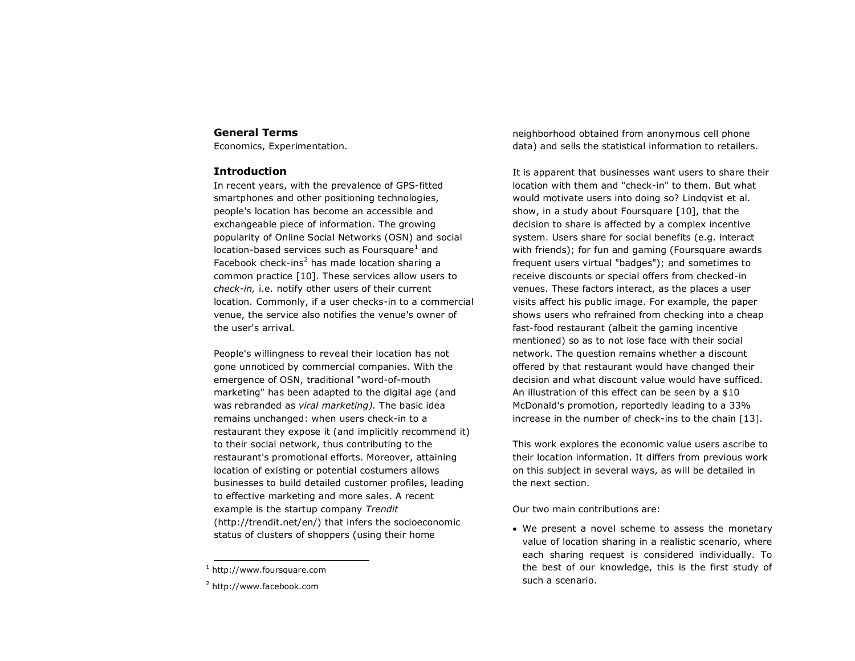# **General Terms**

Economics, Experimentation.

# **Introduction**

In recent years, with the prevalence of GPS-fitted smartphones and other positioning technologies, people's location has become an accessible and exchangeable piece of information. The growing popularity of Online Social Networks (OSN) and social location-based services such as Foursquare<sup>1</sup> and Facebook check-ins<sup>2</sup> has made location sharing a common practice [10]. These services allow users to *check-in,* i.e. notify other users of their current location. Commonly, if a user checks-in to a commercial venue, the service also notifies the venue's owner of the user's arrival.

People's willingness to reveal their location has not gone unnoticed by commercial companies. With the emergence of OSN, traditional "word-of-mouth marketing" has been adapted to the digital age (and was rebranded as *viral marketing).* The basic idea remains unchanged: when users check-in to a restaurant they expose it (and implicitly recommend it) to their social network, thus contributing to the restaurant's promotional efforts. Moreover, attaining location of existing or potential costumers allows businesses to build detailed customer profiles, leading to effective marketing and more sales. A recent example is the startup company *Trendit*  (http://trendit.net/en/) that infers the socioeconomic status of clusters of shoppers (using their home

1

neighborhood obtained from anonymous cell phone data) and sells the statistical information to retailers.

It is apparent that businesses want users to share their location with them and "check-in" to them. But what would motivate users into doing so? Lindqvist et al. show, in a study about Foursquare [10], that the decision to share is affected by a complex incentive system. Users share for social benefits (e.g. interact with friends); for fun and gaming (Foursquare awards frequent users virtual "badges"); and sometimes to receive discounts or special offers from checked-in venues. These factors interact, as the places a user visits affect his public image. For example, the paper shows users who refrained from checking into a cheap fast-food restaurant (albeit the gaming incentive mentioned) so as to not lose face with their social network. The question remains whether a discount offered by that restaurant would have changed their decision and what discount value would have sufficed. An illustration of this effect can be seen by a \$10 McDonald's promotion, reportedly leading to a 33% increase in the number of check-ins to the chain [13].

This work explores the economic value users ascribe to their location information. It differs from previous work on this subject in several ways, as will be detailed in the next section.

Our two main contributions are:

 We present a novel scheme to assess the monetary value of location sharing in a realistic scenario, where each sharing request is considered individually. To the best of our knowledge, this is the first study of such a scenario.

<sup>1</sup> http://www.foursquare.com

<sup>&</sup>lt;sup>2</sup> http://www.facebook.com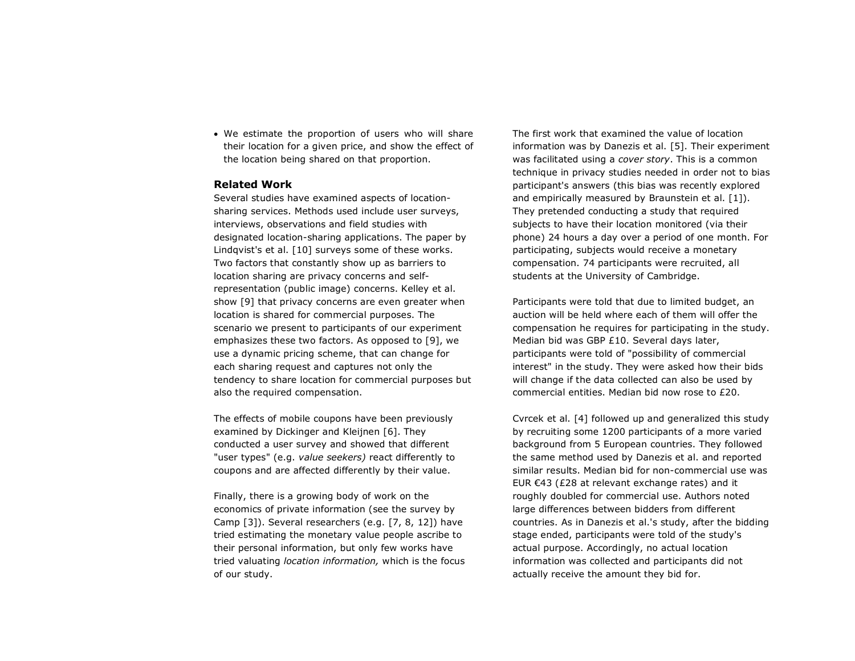We estimate the proportion of users who will share their location for a given price, and show the effect of the location being shared on that proportion.

# **Related Work**

Several studies have examined aspects of locationsharing services. Methods used include user surveys, interviews, observations and field studies with designated location-sharing applications. The paper by Lindqvist's et al. [10] surveys some of these works. Two factors that constantly show up as barriers to location sharing are privacy concerns and selfrepresentation (public image) concerns. Kelley et al. show [9] that privacy concerns are even greater when location is shared for commercial purposes. The scenario we present to participants of our experiment emphasizes these two factors. As opposed to [9], we use a dynamic pricing scheme, that can change for each sharing request and captures not only the tendency to share location for commercial purposes but also the required compensation.

The effects of mobile coupons have been previously examined by Dickinger and Kleijnen [6]. They conducted a user survey and showed that different "user types" (e.g. *value seekers)* react differently to coupons and are affected differently by their value.

Finally, there is a growing body of work on the economics of private information (see the survey by Camp [3]). Several researchers (e.g. [7, 8, 12]) have tried estimating the monetary value people ascribe to their personal information, but only few works have tried valuating *location information,* which is the focus of our study.

The first work that examined the value of location information was by Danezis et al. [5]. Their experiment was facilitated using a *cover story*. This is a common technique in privacy studies needed in order not to bias participant's answers (this bias was recently explored and empirically measured by Braunstein et al. [1]). They pretended conducting a study that required subjects to have their location monitored (via their phone) 24 hours a day over a period of one month. For participating, subjects would receive a monetary compensation. 74 participants were recruited, all students at the University of Cambridge.

Participants were told that due to limited budget, an auction will be held where each of them will offer the compensation he requires for participating in the study. Median bid was GBP £10. Several days later, participants were told of "possibility of commercial interest" in the study. They were asked how their bids will change if the data collected can also be used by commercial entities. Median bid now rose to £20.

Cvrcek et al. [4] followed up and generalized this study by recruiting some 1200 participants of a more varied background from 5 European countries. They followed the same method used by Danezis et al. and reported similar results. Median bid for non-commercial use was EUR €43 (£28 at relevant exchange rates) and it roughly doubled for commercial use. Authors noted large differences between bidders from different countries. As in Danezis et al.'s study, after the bidding stage ended, participants were told of the study's actual purpose. Accordingly, no actual location information was collected and participants did not actually receive the amount they bid for.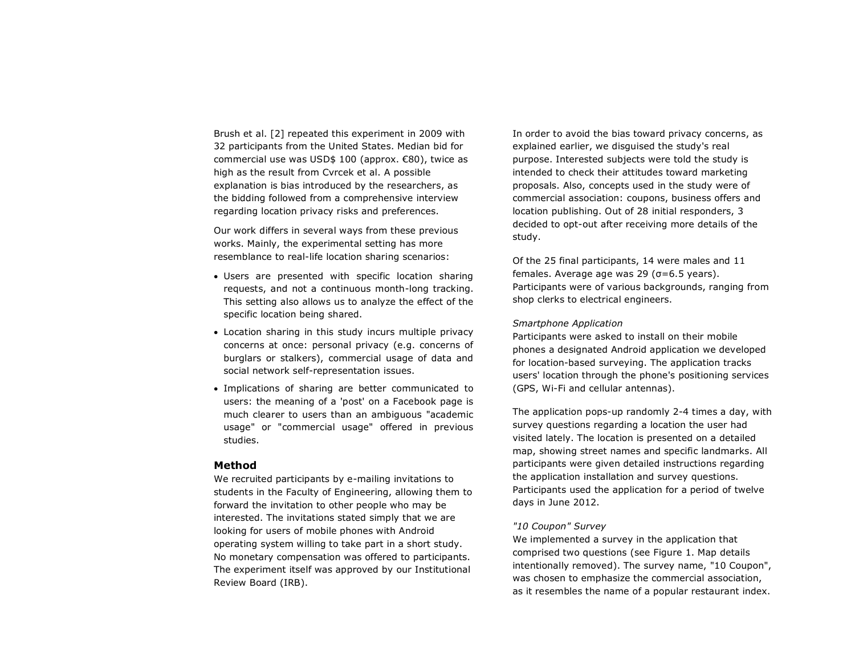Brush et al. [2] repeated this experiment in 2009 with 32 participants from the United States. Median bid for commercial use was USD\$ 100 (approx. €80), twice as high as the result from Cvrcek et al. A possible explanation is bias introduced by the researchers, as the bidding followed from a comprehensive interview regarding location privacy risks and preferences.

Our work differs in several ways from these previous works. Mainly, the experimental setting has more resemblance to real-life location sharing scenarios:

- Users are presented with specific location sharing requests, and not a continuous month-long tracking. This setting also allows us to analyze the effect of the specific location being shared.
- Location sharing in this study incurs multiple privacy concerns at once: personal privacy (e.g. concerns of burglars or stalkers), commercial usage of data and social network self-representation issues.
- Implications of sharing are better communicated to users: the meaning of a 'post' on a Facebook page is much clearer to users than an ambiguous "academic usage" or "commercial usage" offered in previous studies.

#### **Method**

We recruited participants by e-mailing invitations to students in the Faculty of Engineering, allowing them to forward the invitation to other people who may be interested. The invitations stated simply that we are looking for users of mobile phones with Android operating system willing to take part in a short study. No monetary compensation was offered to participants. The experiment itself was approved by our Institutional Review Board (IRB).

In order to avoid the bias toward privacy concerns, as explained earlier, we disguised the study's real purpose. Interested subjects were told the study is intended to check their attitudes toward marketing proposals. Also, concepts used in the study were of commercial association: coupons, business offers and location publishing. Out of 28 initial responders, 3 decided to opt-out after receiving more details of the study.

Of the 25 final participants, 14 were males and 11 females. Average age was 29 (σ=6.5 years). Participants were of various backgrounds, ranging from shop clerks to electrical engineers.

#### *Smartphone Application*

Participants were asked to install on their mobile phones a designated Android application we developed for location-based surveying. The application tracks users' location through the phone's positioning services (GPS, Wi-Fi and cellular antennas).

The application pops-up randomly 2-4 times a day, with survey questions regarding a location the user had visited lately. The location is presented on a detailed map, showing street names and specific landmarks. All participants were given detailed instructions regarding the application installation and survey questions. Participants used the application for a period of twelve days in June 2012.

#### *"10 Coupon" Survey*

We implemented a survey in the application that comprised two questions (see Figure 1. Map details intentionally removed). The survey name, "10 Coupon", was chosen to emphasize the commercial association, as it resembles the name of a popular restaurant index.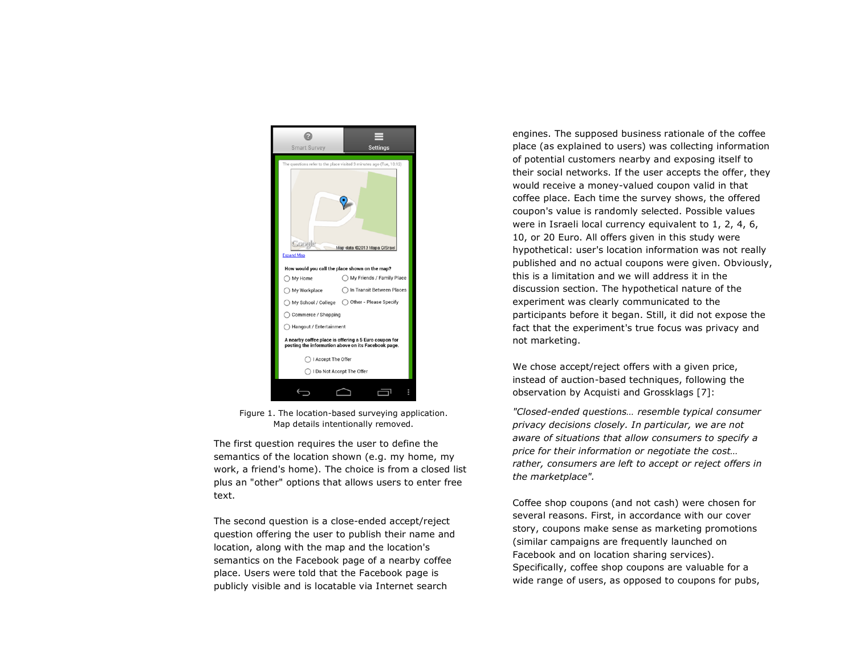

Figure 1. The location-based surveying application. Map details intentionally removed.

The first question requires the user to define the semantics of the location shown (e.g. my home, my work, a friend's home). The choice is from a closed list plus an "other" options that allows users to enter free text.

The second question is a close-ended accept/reject question offering the user to publish their name and location, along with the map and the location's semantics on the Facebook page of a nearby coffee place. Users were told that the Facebook page is publicly visible and is locatable via Internet search

engines. The supposed business rationale of the coffee place (as explained to users) was collecting information of potential customers nearby and exposing itself to their social networks. If the user accepts the offer, they would receive a money-valued coupon valid in that coffee place. Each time the survey shows, the offered coupon's value is randomly selected. Possible values were in Israeli local currency equivalent to 1, 2, 4, 6, 10, or 20 Euro. All offers given in this study were hypothetical: user's location information was not really published and no actual coupons were given. Obviously, this is a limitation and we will address it in the discussion section. The hypothetical nature of the experiment was clearly communicated to the participants before it began. Still, it did not expose the fact that the experiment's true focus was privacy and not marketing.

We chose accept/reject offers with a given price, instead of auction-based techniques, following the observation by Acquisti and Grossklags [7]:

*"Closed-ended questions… resemble typical consumer privacy decisions closely. In particular, we are not aware of situations that allow consumers to specify a price for their information or negotiate the cost… rather, consumers are left to accept or reject offers in the marketplace".* 

Coffee shop coupons (and not cash) were chosen for several reasons. First, in accordance with our cover story, coupons make sense as marketing promotions (similar campaigns are frequently launched on Facebook and on location sharing services). Specifically, coffee shop coupons are valuable for a wide range of users, as opposed to coupons for pubs,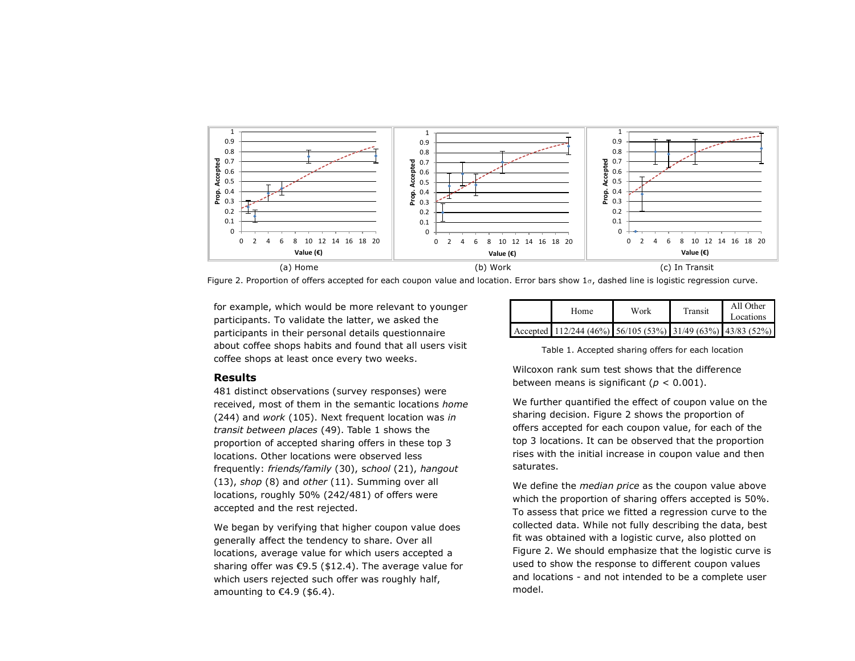

Figure 2. Proportion of offers accepted for each coupon value and location. Error bars show  $1\sigma$ , dashed line is logistic regression curve.

for example, which would be more relevant to younger participants. To validate the latter, we asked the participants in their personal details questionnaire about coffee shops habits and found that all users visit coffee shops at least once every two weeks.

#### **Results**

481 distinct observations (survey responses) were received, most of them in the semantic locations *home* (244) and *work* (105). Next frequent location was *in transit between places* (49). Table 1 shows the proportion of accepted sharing offers in these top 3 locations. Other locations were observed less frequently: *friends/family* (30), s*chool* (21), *hangout* (13), *shop* (8) and *other* (11). Summing over all locations, roughly 50% (242/481) of offers were accepted and the rest rejected.

We began by verifying that higher coupon value does generally affect the tendency to share. Over all locations, average value for which users accepted a sharing offer was €9.5 (\$12.4). The average value for which users rejected such offer was roughly half, amounting to  $\text{\ensuremath{\mathfrak{C}4.9}}$  (\$6.4).

| Home                                                        | Work | Transit | All Other<br>Locations |
|-------------------------------------------------------------|------|---------|------------------------|
| Accepted 112/244 (46%) 56/105 (53%) 31/49 (63%) 43/83 (52%) |      |         |                        |

Table 1. Accepted sharing offers for each location

Wilcoxon rank sum test shows that the difference between means is significant ( $p < 0.001$ ).

We further quantified the effect of coupon value on the sharing decision. Figure 2 shows the proportion of offers accepted for each coupon value, for each of the top 3 locations. It can be observed that the proportion rises with the initial increase in coupon value and then saturates.

We define the *median price* as the coupon value above which the proportion of sharing offers accepted is 50%. To assess that price we fitted a regression curve to the collected data. While not fully describing the data, best fit was obtained with a logistic curve, also plotted on Figure 2. We should emphasize that the logistic curve is used to show the response to different coupon values and locations - and not intended to be a complete user model.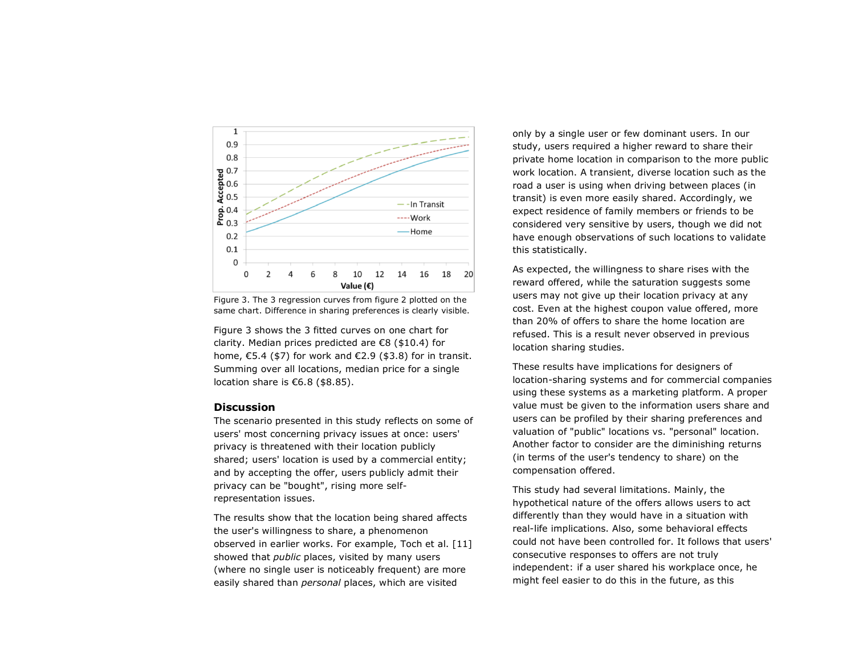

Figure 3. The 3 regression curves from figure 2 plotted on the same chart. Difference in sharing preferences is clearly visible.

Figure 3 shows the 3 fitted curves on one chart for clarity. Median prices predicted are €8 (\$10.4) for home, €5.4 (\$7) for work and  $€2.9$  (\$3.8) for in transit. Summing over all locations, median price for a single location share is  $€6.8$  (\$8.85).

#### **Discussion**

The scenario presented in this study reflects on some of users' most concerning privacy issues at once: users' privacy is threatened with their location publicly shared; users' location is used by a commercial entity; and by accepting the offer, users publicly admit their privacy can be "bought", rising more selfrepresentation issues.

The results show that the location being shared affects the user's willingness to share, a phenomenon observed in earlier works. For example, Toch et al. [11] showed that *public* places, visited by many users (where no single user is noticeably frequent) are more easily shared than *personal* places, which are visited

only by a single user or few dominant users. In our study, users required a higher reward to share their private home location in comparison to the more public work location. A transient, diverse location such as the road a user is using when driving between places (in transit) is even more easily shared. Accordingly, we expect residence of family members or friends to be considered very sensitive by users, though we did not have enough observations of such locations to validate this statistically.

As expected, the willingness to share rises with the reward offered, while the saturation suggests some users may not give up their location privacy at any cost. Even at the highest coupon value offered, more than 20% of offers to share the home location are refused. This is a result never observed in previous location sharing studies.

These results have implications for designers of location-sharing systems and for commercial companies using these systems as a marketing platform. A proper value must be given to the information users share and users can be profiled by their sharing preferences and valuation of "public" locations vs. "personal" location. Another factor to consider are the diminishing returns (in terms of the user's tendency to share) on the compensation offered.

This study had several limitations. Mainly, the hypothetical nature of the offers allows users to act differently than they would have in a situation with real-life implications. Also, some behavioral effects could not have been controlled for. It follows that users' consecutive responses to offers are not truly independent: if a user shared his workplace once, he might feel easier to do this in the future, as this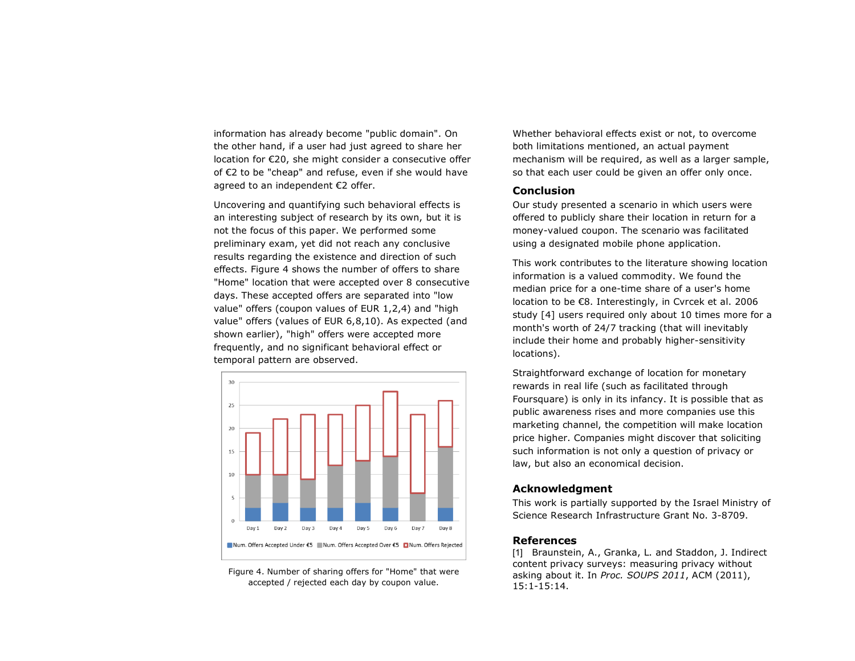information has already become "public domain". On the other hand, if a user had just agreed to share her location for €20, she might consider a consecutive offer of €2 to be "cheap" and refuse, even if she would have agreed to an independent €2 offer.

Uncovering and quantifying such behavioral effects is an interesting subject of research by its own, but it is not the focus of this paper. We performed some preliminary exam, yet did not reach any conclusive results regarding the existence and direction of such effects. Figure 4 shows the number of offers to share "Home" location that were accepted over 8 consecutive days. These accepted offers are separated into "low value" offers (coupon values of EUR 1,2,4) and "high value" offers (values of EUR 6,8,10). As expected (and shown earlier), "high" offers were accepted more frequently, and no significant behavioral effect or temporal pattern are observed.



Figure 4. Number of sharing offers for "Home" that were accepted / rejected each day by coupon value.

Whether behavioral effects exist or not, to overcome both limitations mentioned, an actual payment mechanism will be required, as well as a larger sample, so that each user could be given an offer only once.

# **Conclusion**

Our study presented a scenario in which users were offered to publicly share their location in return for a money-valued coupon. The scenario was facilitated using a designated mobile phone application.

This work contributes to the literature showing location information is a valued commodity. We found the median price for a one-time share of a user's home location to be €8. Interestingly, in Cvrcek et al. 2006 study [4] users required only about 10 times more for a month's worth of 24/7 tracking (that will inevitably include their home and probably higher-sensitivity locations).

Straightforward exchange of location for monetary rewards in real life (such as facilitated through Foursquare) is only in its infancy. It is possible that as public awareness rises and more companies use this marketing channel, the competition will make location price higher. Companies might discover that soliciting such information is not only a question of privacy or law, but also an economical decision.

# **Acknowledgment**

This work is partially supported by the Israel Ministry of Science Research Infrastructure Grant No. 3-8709.

# **References**

[1] Braunstein, A., Granka, L. and Staddon, J. Indirect content privacy surveys: measuring privacy without asking about it. In *Proc. SOUPS 2011*, ACM (2011), 15:1-15:14.